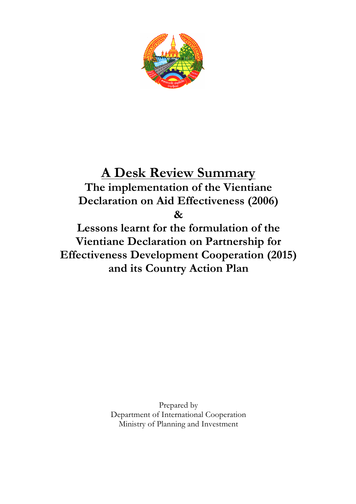

# **A Desk Review Summary The implementation of the Vientiane Declaration on Aid Effectiveness (2006) &**

**Lessons learnt for the formulation of the Vientiane Declaration on Partnership for Effectiveness Development Cooperation (2015) and its Country Action Plan** 

> Prepared by Department of International Cooperation Ministry of Planning and Investment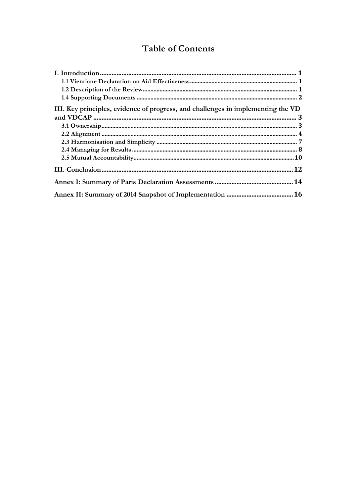## **Table of Contents**

| III. Key principles, evidence of progress, and challenges in implementing the VD |
|----------------------------------------------------------------------------------|
|                                                                                  |
|                                                                                  |
|                                                                                  |
|                                                                                  |
|                                                                                  |
|                                                                                  |
|                                                                                  |
|                                                                                  |
|                                                                                  |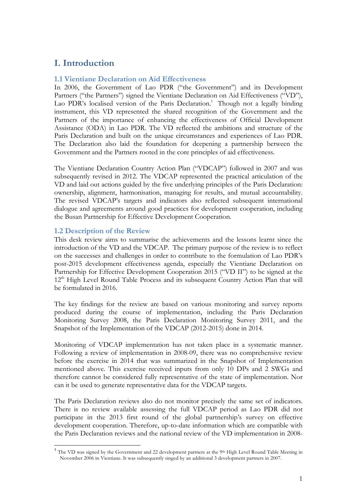### **I. Introduction**

#### **1.1 Vientiane Declaration on Aid Effectiveness**

In 2006, the Government of Lao PDR ("the Government") and its Development Partners ("the Partners") signed the Vientiane Declaration on Aid Effectiveness ("VD"), Lao PDR's localised version of the Paris Declaration.<sup>1</sup> Though not a legally binding instrument, this VD represented the shared recognition of the Government and the Partners of the importance of enhancing the effectiveness of Official Development Assistance (ODA) in Lao PDR. The VD reflected the ambitions and structure of the Paris Declaration and built on the unique circumstances and experiences of Lao PDR. The Declaration also laid the foundation for deepening a partnership between the Government and the Partners rooted in the core principles of aid effectiveness.

The Vientiane Declaration Country Action Plan ("VDCAP") followed in 2007 and was subsequently revised in 2012. The VDCAP represented the practical articulation of the VD and laid out actions guided by the five underlying principles of the Paris Declaration: ownership, alignment, harmonisation, managing for results, and mutual accountability. The revised VDCAP's targets and indicators also reflected subsequent international dialogue and agreements around good practices for development cooperation, including the Busan Partnership for Effective Development Cooperation.

#### **1.2 Description of the Review**

This desk review aims to summarise the achievements and the lessons learnt since the introduction of the VD and the VDCAP. The primary purpose of the review is to reflect on the successes and challenges in order to contribute to the formulation of Lao PDR's post-2015 development effectiveness agenda, especially the Vientiane Declaration on Partnership for Effective Development Cooperation 2015 ("VD II") to be signed at the 12<sup>th</sup> High Level Round Table Process and its subsequent Country Action Plan that will be formulated in 2016.

The key findings for the review are based on various monitoring and survey reports produced during the course of implementation, including the Paris Declaration Monitoring Survey 2008, the Paris Declaration Monitoring Survey 2011, and the Snapshot of the Implementation of the VDCAP (2012-2015) done in 2014.

Monitoring of VDCAP implementation has not taken place in a systematic manner. Following a review of implementation in 2008-09, there was no comprehensive review before the exercise in 2014 that was summarized in the Snapshot of Implementation mentioned above. This exercise received inputs from only 10 DPs and 2 SWGs and therefore cannot be considered fully representative of the state of implementation. Nor can it be used to generate representative data for the VDCAP targets.

The Paris Declaration reviews also do not monitor precisely the same set of indicators. There is no review available assessing the full VDCAP period as Lao PDR did not participate in the 2013 first round of the global partnership's survey on effective development cooperation. Therefore, up-to-date information which are compatible with the Paris Declaration reviews and the national review of the VD implementation in 2008-

<sup>&</sup>lt;sup>1</sup> The VD was signed by the Government and 22 development partners at the 9th High Level Round Table Meeting in November 2006 in Vientiane. It was subsequently singed by an additional 3 development partners in 2007.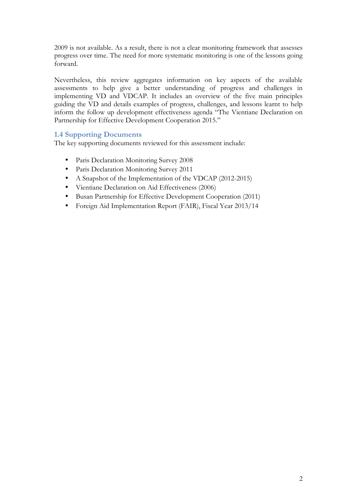2009 is not available. As a result, there is not a clear monitoring framework that assesses progress over time. The need for more systematic monitoring is one of the lessons going forward.

Nevertheless, this review aggregates information on key aspects of the available assessments to help give a better understanding of progress and challenges in implementing VD and VDCAP. It includes an overview of the five main principles guiding the VD and details examples of progress, challenges, and lessons learnt to help inform the follow up development effectiveness agenda "The Vientiane Declaration on Partnership for Effective Development Cooperation 2015."

#### **1.4 Supporting Documents**

The key supporting documents reviewed for this assessment include:

- Paris Declaration Monitoring Survey 2008
- Paris Declaration Monitoring Survey 2011
- A Snapshot of the Implementation of the VDCAP (2012-2015)
- Vientiane Declaration on Aid Effectiveness (2006)
- Busan Partnership for Effective Development Cooperation (2011)
- Foreign Aid Implementation Report (FAIR), Fiscal Year 2013/14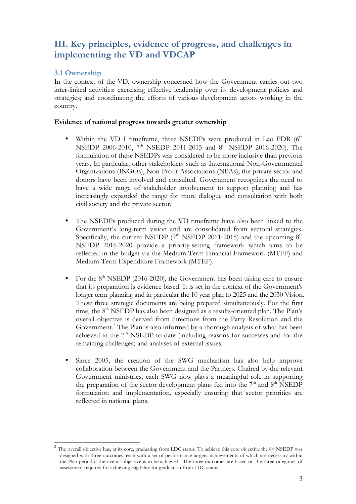## **III. Key principles, evidence of progress, and challenges in implementing the VD and VDCAP**

#### **3.1 Ownership**

In the context of the VD, ownership concerned how the Government carries out two inter-linked activities: exercising effective leadership over its development policies and strategies; and coordinating the efforts of various development actors working in the country.

#### **Evidence of national progress towards greater ownership**

- Within the VD I timeframe, three NSEDPs were produced in Lao PDR  $(6<sup>th</sup>$ NSEDP 2006-2010, 7<sup>th</sup> NSEDP 2011-2015 and 8<sup>th</sup> NSEDP 2016-2020). The formulation of these NSEDPs was considered to be more inclusive than previous years. In particular, other stakeholders such as International Non-Governmental Organizations (INGOs), Non-Profit Associations (NPAs), the private sector and donors have been involved and consulted. Government recognizes the need to have a wide range of stakeholder involvement to support planning and has increasingly expanded the range for more dialogue and consultation with both civil society and the private sector.
- The NSEDPs produced during the VD timeframe have also been linked to the Government's long-term vision and are consolidated from sectoral strategies. Specifically, the current NSEDP ( $7<sup>th</sup>$  NSEDP 2011-2015) and the upcoming  $8<sup>th</sup>$ NSEDP 2016-2020 provide a priority-setting framework which aims to be reflected in the budget via the Medium-Term Financial Framework (MTFF) and Medium-Term Expenditure Framework (MTEF).
- For the  $8<sup>th</sup>$  NSEDP (2016-2020), the Government has been taking care to ensure that its preparation is evidence based. It is set in the context of the Government's longer term planning and in particular the 10 year plan to 2025 and the 2030 Vision. These three strategic documents are being prepared simultaneously. For the first time, the  $8<sup>th</sup>$  NSEDP has also been designed as a results-oriented plan. The Plan's overall objective is derived from directions from the Party Resolution and the Government. <sup>2</sup> The Plan is also informed by a thorough analysis of what has been achieved in the 7<sup>th</sup> NSEDP to date (including reasons for successes and for the remaining challenges) and analyses of external issues.
- Since 2005, the creation of the SWG mechanism has also help improve collaboration between the Government and the Partners. Chaired by the relevant Government ministries, each SWG now plays a meaningful role in supporting the preparation of the sector development plans fed into the 7<sup>th</sup> and 8<sup>th</sup> NSEDP formulation and implementation, especially ensuring that sector priorities are reflected in national plans.

The overall objective has, at its core, graduating from LDC status. To achieve this core objective the 8th NSEDP was designed with three outcomes, each with a set of performance targets, achievements of which are necessary within the Plan period if the overall objective is to be achieved. The three outcomes are based on the three categories of assessment required for achieving eligibility for graduation from LDC status.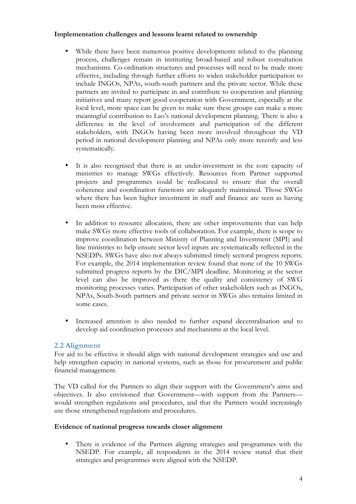#### **Implementation challenges and lessons learnt related to ownership**

- While there have been numerous positive developments related to the planning process, challenges remain in instituting broad-based and robust consultation mechanisms. Co-ordination structures and processes will need to be made more effective, including through further efforts to widen stakeholder participation to include INGOs, NPAs, south-south partners and the private sector. While these partners are invited to participate in and contribute to cooperation and planning initiatives and many report good cooperation with Government, especially at the local level, more space can be given to make sure these groups can make a more meaningful contribution to Lao's national development planning. There is also a difference in the level of involvement and participation of the different stakeholders, with INGOs having been more involved throughout the VD period in national development planning and NPAs only more recently and less systematically.
- It is also recognised that there is an under-investment in the core capacity of ministries to manage SWGs effectively. Resources from Partner supported projects and programmes could be reallocated to ensure that the overall coherence and coordination functions are adequately maintained. Those SWGs where there has been higher investment in staff and finance are seen as having been most effective.
- In addition to resource allocation, there are other improvements that can help make SWGs more effective tools of collaboration. For example, there is scope to improve coordination between Ministry of Planning and Investment (MPI) and line ministries to help ensure sector level inputs are systematically reflected in the NSEDPs. SWGs have also not always submitted timely sectoral progress reports. For example, the 2014 implementation review found that none of the 10 SWGs submitted progress reports by the DIC/MPI deadline. Monitoring at the sector level can also be improved as there the quality and consistency of SWG monitoring processes varies. Participation of other stakeholders such as INGOs, NPAs, South-South partners and private sector in SWGs also remains limited in some cases.
- Increased attention is also needed to further expand decentralisation and to develop aid coordination processes and mechanisms at the local level.

#### **2.2 Alignment**

For aid to be effective it should align with national development strategies and use and help strengthen capacity in national systems, such as those for procurement and public financial management.

The VD called for the Partners to align their support with the Government's aims and objectives. It also envisioned that Government—with support from the Partners would strengthen regulations and procedures, and that the Partners would increasingly use those strengthened regulations and procedures.

#### **Evidence of national progress towards closer alignment**

There is evidence of the Partners aligning strategies and programmes with the NSEDP. For example, all respondents in the 2014 review stated that their strategies and programmes were aligned with the NSEDP.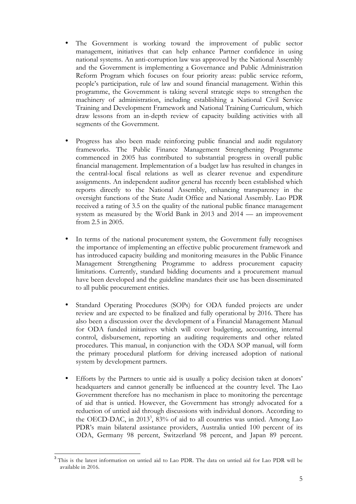- The Government is working toward the improvement of public sector management, initiatives that can help enhance Partner confidence in using national systems. An anti-corruption law was approved by the National Assembly and the Government is implementing a Governance and Public Administration Reform Program which focuses on four priority areas: public service reform, people's participation, rule of law and sound financial management. Within this programme, the Government is taking several strategic steps to strengthen the machinery of administration, including establishing a National Civil Service Training and Development Framework and National Training Curriculum, which draw lessons from an in-depth review of capacity building activities with all segments of the Government.
- Progress has also been made reinforcing public financial and audit regulatory frameworks. The Public Finance Management Strengthening Programme commenced in 2005 has contributed to substantial progress in overall public financial management. Implementation of a budget law has resulted in changes in the central-local fiscal relations as well as clearer revenue and expenditure assignments. An independent auditor general has recently been established which reports directly to the National Assembly, enhancing transparency in the oversight functions of the State Audit Office and National Assembly. Lao PDR received a rating of 3.5 on the quality of the national public finance management system as measured by the World Bank in 2013 and 2014 — an improvement from 2.5 in 2005.
- In terms of the national procurement system, the Government fully recognises the importance of implementing an effective public procurement framework and has introduced capacity building and monitoring measures in the Public Finance Management Strengthening Programme to address procurement capacity limitations. Currently, standard bidding documents and a procurement manual have been developed and the guideline mandates their use has been disseminated to all public procurement entities.
- Standard Operating Procedures (SOPs) for ODA funded projects are under review and are expected to be finalized and fully operational by 2016. There has also been a discussion over the development of a Financial Management Manual for ODA funded initiatives which will cover budgeting, accounting, internal control, disbursement, reporting an auditing requirements and other related procedures. This manual, in conjunction with the ODA SOP manual, will form the primary procedural platform for driving increased adoption of national system by development partners.
- Efforts by the Partners to untie aid is usually a policy decision taken at donors' headquarters and cannot generally be influenced at the country level. The Lao Government therefore has no mechanism in place to monitoring the percentage of aid that is untied. However, the Government has strongly advocated for a reduction of untied aid through discussions with individual donors. According to the OECD-DAC, in 2013<sup>3</sup>, 83% of aid to all countries was untied. Among Lao PDR's main bilateral assistance providers, Australia untied 100 percent of its ODA, Germany 98 percent, Switzerland 98 percent, and Japan 89 percent.

<sup>&</sup>lt;sup>3</sup> This is the latest information on untied aid to Lao PDR. The data on untied aid for Lao PDR will be available in 2016.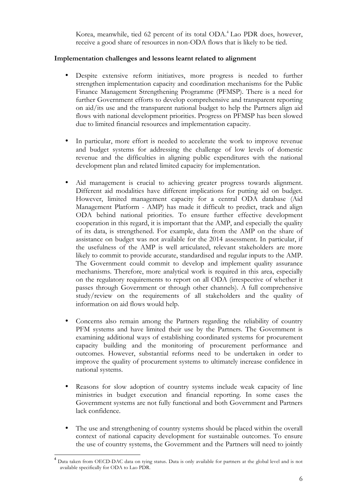Korea, meanwhile, tied 62 percent of its total ODA.<sup>4</sup> Lao PDR does, however, receive a good share of resources in non-ODA flows that is likely to be tied.

#### **Implementation challenges and lessons learnt related to alignment**

- Despite extensive reform initiatives, more progress is needed to further strengthen implementation capacity and coordination mechanisms for the Public Finance Management Strengthening Programme (PFMSP). There is a need for further Government efforts to develop comprehensive and transparent reporting on aid/its use and the transparent national budget to help the Partners align aid flows with national development priorities. Progress on PFMSP has been slowed due to limited financial resources and implementation capacity.
- In particular, more effort is needed to accelerate the work to improve revenue and budget systems for addressing the challenge of low levels of domestic revenue and the difficulties in aligning public expenditures with the national development plan and related limited capacity for implementation.
- Aid management is crucial to achieving greater progress towards alignment. Different aid modalities have different implications for putting aid on budget. However, limited management capacity for a central ODA database (Aid Management Platform - AMP) has made it difficult to predict, track and align ODA behind national priorities. To ensure further effective development cooperation in this regard, it is important that the AMP, and especially the quality of its data, is strengthened. For example, data from the AMP on the share of assistance on budget was not available for the 2014 assessment. In particular, if the usefulness of the AMP is well articulated, relevant stakeholders are more likely to commit to provide accurate, standardised and regular inputs to the AMP. The Government could commit to develop and implement quality assurance mechanisms. Therefore, more analytical work is required in this area, especially on the regulatory requirements to report on all ODA (irrespective of whether it passes through Government or through other channels). A full comprehensive study/review on the requirements of all stakeholders and the quality of information on aid flows would help.
- Concerns also remain among the Partners regarding the reliability of country PFM systems and have limited their use by the Partners. The Government is examining additional ways of establishing coordinated systems for procurement capacity building and the monitoring of procurement performance and outcomes. However, substantial reforms need to be undertaken in order to improve the quality of procurement systems to ultimately increase confidence in national systems.
- Reasons for slow adoption of country systems include weak capacity of line ministries in budget execution and financial reporting. In some cases the Government systems are not fully functional and both Government and Partners lack confidence.
- The use and strengthening of country systems should be placed within the overall context of national capacity development for sustainable outcomes. To ensure the use of country systems, the Government and the Partners will need to jointly

<sup>&</sup>lt;sup>4</sup> Data taken from OECD-DAC data on tying status. Data is only available for partners at the global level and is not available specifically for ODA to Lao PDR.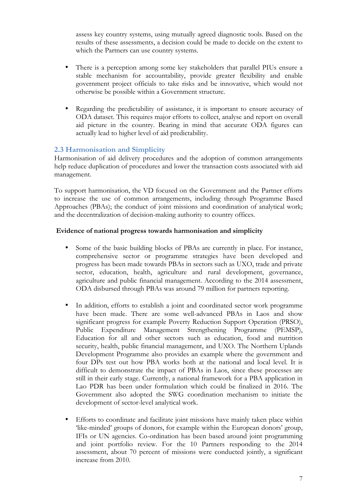assess key country systems, using mutually agreed diagnostic tools. Based on the results of these assessments, a decision could be made to decide on the extent to which the Partners can use country systems.

- There is a perception among some key stakeholders that parallel PIUs ensure a stable mechanism for accountability, provide greater flexibility and enable government project officials to take risks and be innovative, which would not otherwise be possible within a Government structure.
- Regarding the predictability of assistance, it is important to ensure accuracy of ODA dataset. This requires major efforts to collect, analyse and report on overall aid picture in the country. Bearing in mind that accurate ODA figures can actually lead to higher level of aid predictability.

#### **2.3 Harmonisation and Simplicity**

Harmonisation of aid delivery procedures and the adoption of common arrangements help reduce duplication of procedures and lower the transaction costs associated with aid management.

To support harmonisation, the VD focused on the Government and the Partner efforts to increase the use of common arrangements, including through Programme Based Approaches (PBAs); the conduct of joint missions and coordination of analytical work; and the decentralization of decision-making authority to country offices.

#### **Evidence of national progress towards harmonisation and simplicity**

- Some of the basic building blocks of PBAs are currently in place. For instance, comprehensive sector or programme strategies have been developed and progress has been made towards PBAs in sectors such as UXO, trade and private sector, education, health, agriculture and rural development, governance, agriculture and public financial management. According to the 2014 assessment, ODA disbursed through PBAs was around 79 million for partners reporting.
- In addition, efforts to establish a joint and coordinated sector work programme have been made. There are some well-advanced PBAs in Laos and show significant progress for example Poverty Reduction Support Operation (PRSO), Public Expenditure Management Strengthening Programme (PEMSP), Education for all and other sectors such as education, food and nutrition security, health, public financial management, and UXO. The Northern Uplands Development Programme also provides an example where the government and four DPs test out how PBA works both at the national and local level. It is difficult to demonstrate the impact of PBAs in Laos, since these processes are still in their early stage. Currently, a national framework for a PBA application in Lao PDR has been under formulation which could be finalized in 2016. The Government also adopted the SWG coordination mechanism to initiate the development of sector-level analytical work.
- Efforts to coordinate and facilitate joint missions have mainly taken place within 'like-minded' groups of donors, for example within the European donors' group, IFIs or UN agencies. Co-ordination has been based around joint programming and joint portfolio review. For the 10 Partners responding to the 2014 assessment, about 70 percent of missions were conducted jointly, a significant increase from 2010.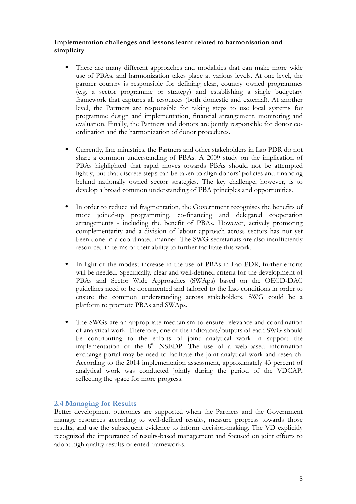#### **Implementation challenges and lessons learnt related to harmonisation and simplicity**

- There are many different approaches and modalities that can make more wide use of PBAs, and harmonization takes place at various levels. At one level, the partner country is responsible for defining clear, country owned programmes (e.g. a sector programme or strategy) and establishing a single budgetary framework that captures all resources (both domestic and external). At another level, the Partners are responsible for taking steps to use local systems for programme design and implementation, financial arrangement, monitoring and evaluation. Finally, the Partners and donors are jointly responsible for donor coordination and the harmonization of donor procedures.
- Currently, line ministries, the Partners and other stakeholders in Lao PDR do not share a common understanding of PBAs. A 2009 study on the implication of PBAs highlighted that rapid moves towards PBAs should not be attempted lightly, but that discrete steps can be taken to align donors' policies and financing behind nationally owned sector strategies. The key challenge, however, is to develop a broad common understanding of PBA principles and opportunities.
- In order to reduce aid fragmentation, the Government recognises the benefits of more joined-up programming, co-financing and delegated cooperation arrangements - including the benefit of PBAs. However, actively promoting complementarity and a division of labour approach across sectors has not yet been done in a coordinated manner. The SWG secretariats are also insufficiently resourced in terms of their ability to further facilitate this work.
- In light of the modest increase in the use of PBAs in Lao PDR, further efforts will be needed. Specifically, clear and well-defined criteria for the development of PBAs and Sector Wide Approaches (SWAps) based on the OECD-DAC guidelines need to be documented and tailored to the Lao conditions in order to ensure the common understanding across stakeholders. SWG could be a platform to promote PBAs and SWAps.
- The SWGs are an appropriate mechanism to ensure relevance and coordination of analytical work. Therefore, one of the indicators/outputs of each SWG should be contributing to the efforts of joint analytical work in support the implementation of the  $8<sup>th</sup>$  NSEDP. The use of a web-based information exchange portal may be used to facilitate the joint analytical work and research. According to the 2014 implementation assessment, approximately 43 percent of analytical work was conducted jointly during the period of the VDCAP, reflecting the space for more progress.

#### **2.4 Managing for Results**

Better development outcomes are supported when the Partners and the Government manage resources according to well-defined results, measure progress towards those results, and use the subsequent evidence to inform decision-making. The VD explicitly recognized the importance of results-based management and focused on joint efforts to adopt high quality results-oriented frameworks.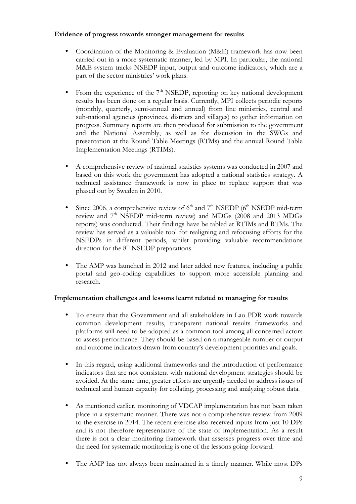#### **Evidence of progress towards stronger management for results**

- Coordination of the Monitoring & Evaluation (M&E) framework has now been carried out in a more systematic manner, led by MPI. In particular, the national M&E system tracks NSEDP input, output and outcome indicators, which are a part of the sector ministries' work plans.
- From the experience of the  $7<sup>th</sup>$  NSEDP, reporting on key national development results has been done on a regular basis. Currently, MPI collects periodic reports (monthly, quarterly, semi-annual and annual) from line ministries, central and sub-national agencies (provinces, districts and villages) to gather information on progress. Summary reports are then produced for submission to the government and the National Assembly, as well as for discussion in the SWGs and presentation at the Round Table Meetings (RTMs) and the annual Round Table Implementation Meetings (RTIMs).
- A comprehensive review of national statistics systems was conducted in 2007 and based on this work the government has adopted a national statistics strategy. A technical assistance framework is now in place to replace support that was phased out by Sweden in 2010.
- Since 2006, a comprehensive review of  $6<sup>th</sup>$  and  $7<sup>th</sup>$  NSEDP ( $6<sup>th</sup>$  NSEDP mid-term review and 7<sup>th</sup> NSEDP mid-term review) and MDGs (2008 and 2013 MDGs reports) was conducted. Their findings have be tabled at RTIMs and RTMs. The review has served as a valuable tool for realigning and refocusing efforts for the NSEDPs in different periods, whilst providing valuable recommendations direction for the  $8<sup>th</sup>$  NSEDP preparations.
- The AMP was launched in 2012 and later added new features, including a public portal and geo-coding capabilities to support more accessible planning and research.

#### **Implementation challenges and lessons learnt related to managing for results**

- To ensure that the Government and all stakeholders in Lao PDR work towards common development results, transparent national results frameworks and platforms will need to be adopted as a common tool among all concerned actors to assess performance. They should be based on a manageable number of output and outcome indicators drawn from country's development priorities and goals.
- In this regard, using additional frameworks and the introduction of performance indicators that are not consistent with national development strategies should be avoided. At the same time, greater efforts are urgently needed to address issues of technical and human capacity for collating, processing and analyzing robust data.
- As mentioned earlier, monitoring of VDCAP implementation has not been taken place in a systematic manner. There was not a comprehensive review from 2009 to the exercise in 2014. The recent exercise also received inputs from just 10 DPs and is not therefore representative of the state of implementation. As a result there is not a clear monitoring framework that assesses progress over time and the need for systematic monitoring is one of the lessons going forward.
- The AMP has not always been maintained in a timely manner. While most DPs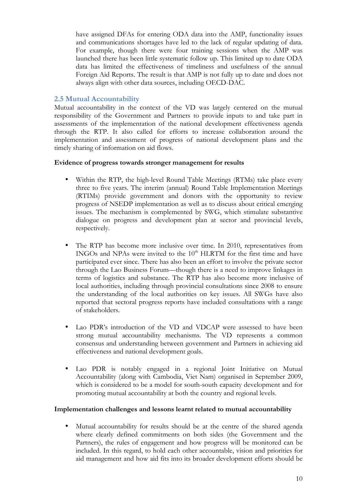have assigned DFAs for entering ODA data into the AMP, functionality issues and communications shortages have led to the lack of regular updating of data. For example, though there were four training sessions when the AMP was launched there has been little systematic follow up. This limited up to date ODA data has limited the effectiveness of timeliness and usefulness of the annual Foreign Aid Reports. The result is that AMP is not fully up to date and does not always align with other data sources, including OECD-DAC.

#### **2.5 Mutual Accountability**

Mutual accountability in the context of the VD was largely centered on the mutual responsibility of the Government and Partners to provide inputs to and take part in assessments of the implementation of the national development effectiveness agenda through the RTP. It also called for efforts to increase collaboration around the implementation and assessment of progress of national development plans and the timely sharing of information on aid flows.

#### **Evidence of progress towards stronger management for results**

- Within the RTP, the high-level Round Table Meetings (RTMs) take place every three to five years. The interim (annual) Round Table Implementation Meetings (RTIMs) provide government and donors with the opportunity to review progress of NSEDP implementation as well as to discuss about critical emerging issues. The mechanism is complemented by SWG, which stimulate substantive dialogue on progress and development plan at sector and provincial levels, respectively.
- The RTP has become more inclusive over time. In 2010, representatives from INGOs and NPAs were invited to the 10<sup>th</sup> HLRTM for the first time and have participated ever since. There has also been an effort to involve the private sector through the Lao Business Forum—though there is a need to improve linkages in terms of logistics and substance. The RTP has also become more inclusive of local authorities, including through provincial consultations since 2008 to ensure the understanding of the local authorities on key issues. All SWGs have also reported that sectoral progress reports have included consultations with a range of stakeholders.
- Lao PDR's introduction of the VD and VDCAP were assessed to have been strong mutual accountability mechanisms. The VD represents a common consensus and understanding between government and Partners in achieving aid effectiveness and national development goals.
- Lao PDR is notably engaged in a regional Joint Initiative on Mutual Accountability (along with Cambodia, Viet Nam) organised in September 2009, which is considered to be a model for south-south capacity development and for promoting mutual accountability at both the country and regional levels.

#### **Implementation challenges and lessons learnt related to mutual accountability**

• Mutual accountability for results should be at the centre of the shared agenda where clearly defined commitments on both sides (the Government and the Partners), the rules of engagement and how progress will be monitored can be included. In this regard, to hold each other accountable, vision and priorities for aid management and how aid fits into its broader development efforts should be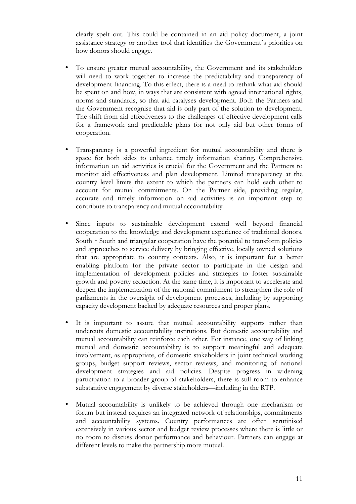clearly spelt out. This could be contained in an aid policy document, a joint assistance strategy or another tool that identifies the Government's priorities on how donors should engage.

- To ensure greater mutual accountability, the Government and its stakeholders will need to work together to increase the predictability and transparency of development financing. To this effect, there is a need to rethink what aid should be spent on and how, in ways that are consistent with agreed international rights, norms and standards, so that aid catalyses development. Both the Partners and the Government recognise that aid is only part of the solution to development. The shift from aid effectiveness to the challenges of effective development calls for a framework and predictable plans for not only aid but other forms of cooperation.
- Transparency is a powerful ingredient for mutual accountability and there is space for both sides to enhance timely information sharing. Comprehensive information on aid activities is crucial for the Government and the Partners to monitor aid effectiveness and plan development. Limited transparency at the country level limits the extent to which the partners can hold each other to account for mutual commitments. On the Partner side, providing regular, accurate and timely information on aid activities is an important step to contribute to transparency and mutual accountability.
- Since inputs to sustainable development extend well beyond financial cooperation to the knowledge and development experience of traditional donors. South - South and triangular cooperation have the potential to transform policies and approaches to service delivery by bringing effective, locally owned solutions that are appropriate to country contexts. Also, it is important for a better enabling platform for the private sector to participate in the design and implementation of development policies and strategies to foster sustainable growth and poverty reduction. At the same time, it is important to accelerate and deepen the implementation of the national commitment to strengthen the role of parliaments in the oversight of development processes, including by supporting capacity development backed by adequate resources and proper plans.
- It is important to assure that mutual accountability supports rather than undercuts domestic accountability institutions. But domestic accountability and mutual accountability can reinforce each other. For instance, one way of linking mutual and domestic accountability is to support meaningful and adequate involvement, as appropriate, of domestic stakeholders in joint technical working groups, budget support reviews, sector reviews, and monitoring of national development strategies and aid policies. Despite progress in widening participation to a broader group of stakeholders, there is still room to enhance substantive engagement by diverse stakeholders—including in the RTP.
- Mutual accountability is unlikely to be achieved through one mechanism or forum but instead requires an integrated network of relationships, commitments and accountability systems. Country performances are often scrutinised extensively in various sector and budget review processes where there is little or no room to discuss donor performance and behaviour. Partners can engage at different levels to make the partnership more mutual.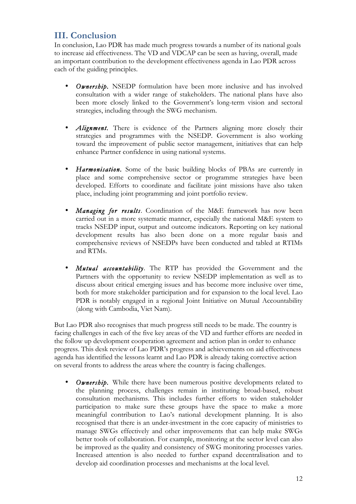### **III. Conclusion**

In conclusion, Lao PDR has made much progress towards a number of its national goals to increase aid effectiveness. The VD and VDCAP can be seen as having, overall, made an important contribution to the development effectiveness agenda in Lao PDR across each of the guiding principles.

- **Ownership.** NSEDP formulation have been more inclusive and has involved consultation with a wider range of stakeholders. The national plans have also been more closely linked to the Government's long-term vision and sectoral strategies, including through the SWG mechanism.
- *Alignment*. There is evidence of the Partners aligning more closely their strategies and programmes with the NSEDP. Government is also working toward the improvement of public sector management, initiatives that can help enhance Partner confidence in using national systems.
- *Harmonisation.* Some of the basic building blocks of PBAs are currently in place and some comprehensive sector or programme strategies have been developed. Efforts to coordinate and facilitate joint missions have also taken place, including joint programming and joint portfolio review.
- *Managing for results*. Coordination of the M&E framework has now been carried out in a more systematic manner, especially the national M&E system to tracks NSEDP input, output and outcome indicators. Reporting on key national development results has also been done on a more regular basis and comprehensive reviews of NSEDPs have been conducted and tabled at RTIMs and RTMs.
- *Mutual accountability*. The RTP has provided the Government and the Partners with the opportunity to review NSEDP implementation as well as to discuss about critical emerging issues and has become more inclusive over time, both for more stakeholder participation and for expansion to the local level. Lao PDR is notably engaged in a regional Joint Initiative on Mutual Accountability (along with Cambodia, Viet Nam).

But Lao PDR also recognises that much progress still needs to be made. The country is facing challenges in each of the five key areas of the VD and further efforts are needed in the follow up development cooperation agreement and action plan in order to enhance progress. This desk review of Lao PDR's progress and achievements on aid effectiveness agenda has identified the lessons learnt and Lao PDR is already taking corrective action on several fronts to address the areas where the country is facing challenges.

• *Ownership.* While there have been numerous positive developments related to the planning process, challenges remain in instituting broad-based, robust consultation mechanisms. This includes further efforts to widen stakeholder participation to make sure these groups have the space to make a more meaningful contribution to Lao's national development planning. It is also recognised that there is an under-investment in the core capacity of ministries to manage SWGs effectively and other improvements that can help make SWGs better tools of collaboration. For example, monitoring at the sector level can also be improved as the quality and consistency of SWG monitoring processes varies. Increased attention is also needed to further expand decentralisation and to develop aid coordination processes and mechanisms at the local level.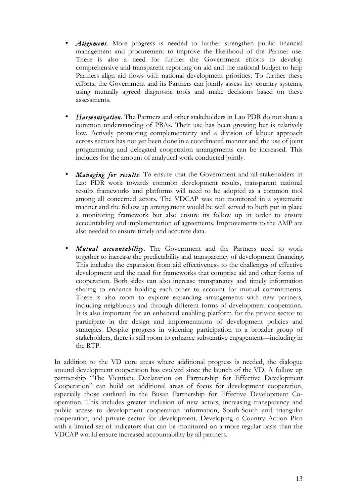- *Alignment*. More progress is needed to further strengthen public financial management and procurement to improve the likelihood of the Partner use. There is also a need for further the Government efforts to develop comprehensive and transparent reporting on aid and the national budget to help Partners align aid flows with national development priorities. To further these efforts, the Government and its Partners can jointly assess key country systems, using mutually agreed diagnostic tools and make decisions based on these assessments.
- *Harmonization*. The Partners and other stakeholders in Lao PDR do not share a common understanding of PBAs. Their use has been growing but is relatively low. Actively promoting complementarity and a division of labour approach across sectors has not yet been done in a coordinated manner and the use of joint programming and delegated cooperation arrangements can be increased. This includes for the amount of analytical work conducted jointly.
- *Managing for results*. To ensure that the Government and all stakeholders in Lao PDR work towards common development results, transparent national results frameworks and platforms will need to be adopted as a common tool among all concerned actors. The VDCAP was not monitored in a systematic manner and the follow up arrangement would be well served to both put in place a monitoring framework but also ensure its follow up in order to ensure accountability and implementation of agreements. Improvements to the AMP are also needed to ensure timely and accurate data.
- *Mutual accountability*. The Government and the Partners need to work together to increase the predictability and transparency of development financing. This includes the expansion from aid effectiveness to the challenges of effective development and the need for frameworks that comprise aid and other forms of cooperation. Both sides can also increase transparency and timely information sharing to enhance holding each other to account for mutual commitments. There is also room to explore expanding arrangements with new partners, including neighbours and through different forms of development cooperation. It is also important for an enhanced enabling platform for the private sector to participate in the design and implementation of development policies and strategies. Despite progress in widening participation to a broader group of stakeholders, there is still room to enhance substantive engagement—including in the RTP.

In addition to the VD core areas where additional progress is needed, the dialogue around development cooperation has evolved since the launch of the VD. A follow up partnership "The Vientiane Declaration on Partnership for Effective Development Cooperation" can build on additional areas of focus for development cooperation, especially those outlined in the Busan Partnership for Effective Development Cooperation. This includes greater inclusion of new actors, increasing transparency and public access to development cooperation information, South-South and triangular cooperation, and private sector for development. Developing a Country Action Plan with a limited set of indicators that can be monitored on a more regular basis than the VDCAP would ensure increased accountability by all partners.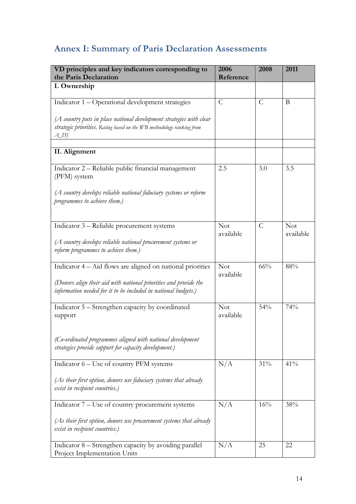# **Annex I: Summary of Paris Declaration Assessments**

| VD principles and key indicators corresponding to<br>the Paris Declaration                                                                             | 2006<br>Reference       | 2008           | 2011                    |
|--------------------------------------------------------------------------------------------------------------------------------------------------------|-------------------------|----------------|-------------------------|
| I. Ownership                                                                                                                                           |                         |                |                         |
| Indicator 1 - Operational development strategies                                                                                                       | $\mathcal{C}$           | $\mathcal{C}$  | B                       |
| (A country puts in place national development strategies with clear<br>strategic priorities. Rating based on the WB methodology ranking from<br>$A\_D$ |                         |                |                         |
| II. Alignment                                                                                                                                          |                         |                |                         |
| Indicator 2 – Reliable public financial management<br>(PFM) system                                                                                     | 2.5                     | 3.0            | 3.5                     |
| (A country develops reliable national fiduciary systems or reform<br>programmes to achieve them.)                                                      |                         |                |                         |
| Indicator 3 – Reliable procurement systems                                                                                                             | <b>Not</b><br>available | $\overline{C}$ | <b>Not</b><br>available |
| (A country develops reliable national procurement systems or<br>reform programmes to achieve them.)                                                    |                         |                |                         |
| Indicator 4 – Aid flows are aligned on national priorities                                                                                             | <b>Not</b><br>available | 66%            | 88%                     |
| (Donors align their aid with national priorities and provide the<br>information needed for it to be included in national budgets.)                     |                         |                |                         |
| Indicator 5 – Strengthen capacity by coordinated<br>support                                                                                            | <b>Not</b><br>available | 54%            | 74%                     |
| (Co-ordinated programmes aligned with national development<br>strategies provide support for capacity development.)                                    |                         |                |                         |
| Indicator 6 - Use of country PFM systems                                                                                                               | N/A                     | 31%            | 41%                     |
| (As their first option, donors use fiduciary systems that already<br>exist in recipient countries.)                                                    |                         |                |                         |
| Indicator 7 – Use of country procurement systems                                                                                                       | N/A                     | 16%            | 38%                     |
| (As their first option, donors use procurement systems that already<br>exist in recipient countries.)                                                  |                         |                |                         |
| Indicator 8 – Strengthen capacity by avoiding parallel<br>Project Implementation Units                                                                 | N/A                     | 25             | 22                      |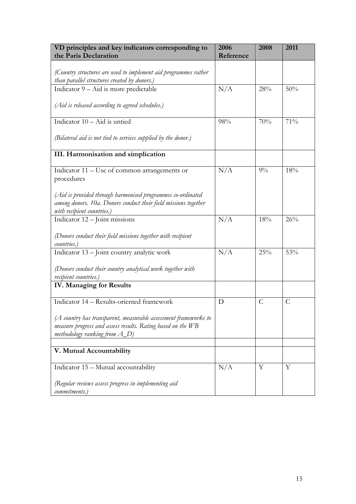| VD principles and key indicators corresponding to<br>the Paris Declaration | 2006<br>Reference | 2008  | 2011 |
|----------------------------------------------------------------------------|-------------------|-------|------|
|                                                                            |                   |       |      |
| (Country structures are used to implement aid programmes rather            |                   |       |      |
| than parallel structures created by donors.)                               |                   |       |      |
| Indicator 9 – Aid is more predictable                                      | N/A               | 28%   | 50%  |
|                                                                            |                   |       |      |
| (Aid is released according to agreed schedules.)                           |                   |       |      |
| Indicator $10 -$ Aid is untied                                             | 98%               | 70%   | 71%  |
| (Bilateral aid is not tied to services supplied by the donor.)             |                   |       |      |
| III. Harmonisation and simplication                                        |                   |       |      |
| Indicator 11 – Use of common arrangements or                               | N/A               | $9\%$ | 18%  |
| procedures                                                                 |                   |       |      |
|                                                                            |                   |       |      |
| (Aid is provided through harmonised programmes co-ordinated                |                   |       |      |
| among donors. 10a. Donors conduct their field missions together            |                   |       |      |
| with recipient countries.)                                                 |                   |       |      |
| Indicator 12 - Joint missions                                              | N/A               | 18%   | 26%  |
| (Donors conduct their field missions together with recipient               |                   |       |      |
| countries.)                                                                |                   |       |      |
| Indicator 13 - Joint country analytic work                                 | N/A               | 25%   | 53%  |
|                                                                            |                   |       |      |
| (Donors conduct their country analytical work together with                |                   |       |      |
| recipient countries.)                                                      |                   |       |      |
| <b>IV. Managing for Results</b>                                            |                   |       |      |
| Indicator 14 - Results-oriented framework                                  | D                 | C     | C    |
|                                                                            |                   |       |      |
| $(A$ country has transparent, measurable assessment frameworks to          |                   |       |      |
| measure progress and assess results. Rating based on the WB                |                   |       |      |
| methodology ranking from $A_D$ )                                           |                   |       |      |
|                                                                            |                   |       |      |
| V. Mutual Accountability                                                   |                   |       |      |
| Indicator 15 – Mutual accountability                                       | N/A               | Y     | Y    |
| (Regular reviews assess progress in implementing aid                       |                   |       |      |
| commitments.)                                                              |                   |       |      |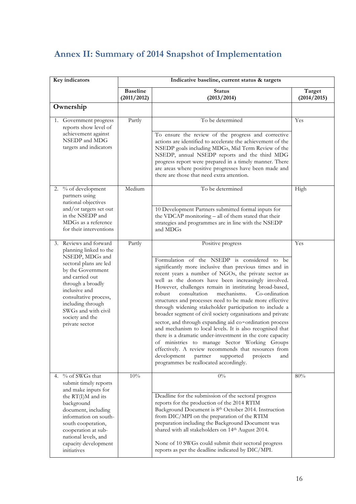## **Annex II: Summary of 2014 Snapshot of Implementation**

| Key indicators |                                                                                                                                                                                                                                                                                       | Indicative baseline, current status & targets |                                                                                                                                                                                                                                                                                                                                                                                                                                                                                                                                                                                                                                                                                                                                                                                                                                                                                                                                                       |                       |  |
|----------------|---------------------------------------------------------------------------------------------------------------------------------------------------------------------------------------------------------------------------------------------------------------------------------------|-----------------------------------------------|-------------------------------------------------------------------------------------------------------------------------------------------------------------------------------------------------------------------------------------------------------------------------------------------------------------------------------------------------------------------------------------------------------------------------------------------------------------------------------------------------------------------------------------------------------------------------------------------------------------------------------------------------------------------------------------------------------------------------------------------------------------------------------------------------------------------------------------------------------------------------------------------------------------------------------------------------------|-----------------------|--|
|                |                                                                                                                                                                                                                                                                                       | <b>Baseline</b><br>(2011/2012)                | <b>Status</b><br>(2013/2014)                                                                                                                                                                                                                                                                                                                                                                                                                                                                                                                                                                                                                                                                                                                                                                                                                                                                                                                          | Target<br>(2014/2015) |  |
|                | Ownership                                                                                                                                                                                                                                                                             |                                               |                                                                                                                                                                                                                                                                                                                                                                                                                                                                                                                                                                                                                                                                                                                                                                                                                                                                                                                                                       |                       |  |
|                | 1. Government progress<br>reports show level of<br>achievement against<br>NSEDP and MDG<br>targets and indicators                                                                                                                                                                     | Partly                                        | To be determined<br>To ensure the review of the progress and corrective<br>actions are identified to accelerate the achievement of the<br>NSEDP goals including MDGs, Mid Term Review of the<br>NSEDP, annual NSEDP reports and the third MDG<br>progress report were prepared in a timely manner. There<br>are areas where positive progresses have been made and<br>there are those that need extra attention.                                                                                                                                                                                                                                                                                                                                                                                                                                                                                                                                      | Yes                   |  |
|                | 2. % of development<br>partners using<br>national objectives<br>and/or targets set out<br>in the NSEDP and<br>MDGs as a reference<br>for their interventions                                                                                                                          | Medium                                        | To be determined<br>10 Development Partners submitted formal inputs for<br>the VDCAP monitoring - all of them stated that their<br>strategies and programmes are in line with the NSEDP<br>and MDGs                                                                                                                                                                                                                                                                                                                                                                                                                                                                                                                                                                                                                                                                                                                                                   | High                  |  |
|                | 3. Reviews and forward<br>planning linked to the<br>NSEDP, MDGs and<br>sectoral plans are led<br>by the Government<br>and carried out<br>through a broadly<br>inclusive and<br>consultative process,<br>including through<br>SWGs and with civil<br>society and the<br>private sector | Partly                                        | Positive progress<br>Formulation of the NSEDP is considered to be<br>significantly more inclusive than previous times and in<br>recent years a number of NGOs, the private sector as<br>well as the donors have been increasingly involved.<br>However, challenges remain in instituting broad-based,<br>robust<br>consultation<br>mechanisms.<br>Co-ordination<br>structures and processes need to be made more effective<br>through widening stakeholder participation to include a<br>broader segment of civil society organisations and private<br>sector, and through expanding aid co-ordination process<br>and mechanism to local levels. It is also recognised that<br>there is a dramatic under-investment in the core capacity<br>of ministries to manage Sector Working Groups<br>effectively. A review recommends that resources from<br>development<br>partner<br>supported<br>projects<br>and<br>programmes be reallocated accordingly. | Yes                   |  |
|                | 4. % of SWGs that<br>submit timely reports<br>and make inputs for<br>the RT(I)M and its<br>background<br>document, including<br>information on south-<br>south cooperation,<br>cooperation at sub-<br>national levels, and<br>capacity development<br>initiatives                     | 10%                                           | $0\%$<br>Deadline for the submission of the sectoral progress<br>reports for the production of the 2014 RTIM<br>Background Document is 8th October 2014. Instruction<br>from DIC/MPI on the preparation of the RTIM<br>preparation including the Background Document was<br>shared with all stakeholders on 14th August 2014.<br>None of 10 SWGs could submit their sectoral progress<br>reports as per the deadline indicated by DIC/MPI.                                                                                                                                                                                                                                                                                                                                                                                                                                                                                                            | 80%                   |  |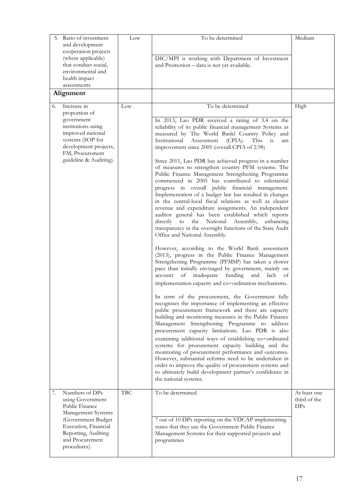| 5. Ratio of investment<br>and development<br>cooperation projects                                                                                                                     | Low        | To be determined                                                                                                                                                                                                                                                                                                                                                                                                                                                                                                                                                                                                                                                                                                                                                                                                                                                                                                                                                                                                                                                                                                                                                                                                                                                                                                                                                                                                                                                                                                                                                                                                                                                                                                                                                                                                                                                                                                                          | Medium                                          |
|---------------------------------------------------------------------------------------------------------------------------------------------------------------------------------------|------------|-------------------------------------------------------------------------------------------------------------------------------------------------------------------------------------------------------------------------------------------------------------------------------------------------------------------------------------------------------------------------------------------------------------------------------------------------------------------------------------------------------------------------------------------------------------------------------------------------------------------------------------------------------------------------------------------------------------------------------------------------------------------------------------------------------------------------------------------------------------------------------------------------------------------------------------------------------------------------------------------------------------------------------------------------------------------------------------------------------------------------------------------------------------------------------------------------------------------------------------------------------------------------------------------------------------------------------------------------------------------------------------------------------------------------------------------------------------------------------------------------------------------------------------------------------------------------------------------------------------------------------------------------------------------------------------------------------------------------------------------------------------------------------------------------------------------------------------------------------------------------------------------------------------------------------------------|-------------------------------------------------|
| (where applicable)<br>that conduct social,<br>environmental and<br>health impact<br>assessments                                                                                       |            | DIC/MPI is working with Department of Investment<br>and Promotion - data is not yet available.                                                                                                                                                                                                                                                                                                                                                                                                                                                                                                                                                                                                                                                                                                                                                                                                                                                                                                                                                                                                                                                                                                                                                                                                                                                                                                                                                                                                                                                                                                                                                                                                                                                                                                                                                                                                                                            |                                                 |
| Alignment                                                                                                                                                                             |            |                                                                                                                                                                                                                                                                                                                                                                                                                                                                                                                                                                                                                                                                                                                                                                                                                                                                                                                                                                                                                                                                                                                                                                                                                                                                                                                                                                                                                                                                                                                                                                                                                                                                                                                                                                                                                                                                                                                                           |                                                 |
| Increase in<br>6.<br>proportion of<br>government<br>institutions using<br>improved national<br>systems (SOP for<br>development projects,<br>FM, Procurement<br>guideline & Auditing). | Low        | To be determined<br>In 2013, Lao PDR received a rating of 3.4 on the<br>reliability of its public financial management Systems as<br>measured by The World Bankl Country Policy and<br>Institutional<br>Assessment<br>$(CPIA)$ .<br>This<br>is<br>am<br>improvement since 2005 (overall CPIA of 2.98)<br>Since 2011, Lao PDR has achieved progress in a number<br>of measures to strengthen country PFM systems. The<br>Public Finance Management Strengthening Programme<br>commenced in 2005 has contributed to substantial<br>progress in overall public financial management.<br>Implementation of a budget law has resulted in changes<br>in the central-local fiscal relations as well as clearer<br>revenue and expenditure assignments. An independent<br>auditor general has been established which reports<br>directly to the National<br>Assembly, enhancing<br>transparency in the oversight functions of the State Audit<br>Office and National Assembly.<br>However, according to the World Bank assessment<br>(2013), progress in the Public Finance Management<br>Strengthening Programme (PFMSP) has taken a slower<br>pace than initially envisaged by government, mainly on<br>inadequate funding and lack<br>account of<br>of<br>implementation capacity and co-ordination mechanisms.<br>In term of the procurement, the Government fully<br>recognises the importance of implementing an effective<br>public procurement framework and there are capacity<br>building and monitoring measures in the Public Finance<br>Management Strengthening Programme to address<br>procurement capacity limitations. Lao PDR is also<br>examining additional ways of establishing co-ordinated<br>systems for procurement capacity building and the<br>monitoring of procurement performance and outcomes.<br>However, substantial reforms need to be undertaken in<br>order to improve the quality of procurement systems and | High                                            |
|                                                                                                                                                                                       |            | to ultimately build development partner's confidence in<br>the national systems.                                                                                                                                                                                                                                                                                                                                                                                                                                                                                                                                                                                                                                                                                                                                                                                                                                                                                                                                                                                                                                                                                                                                                                                                                                                                                                                                                                                                                                                                                                                                                                                                                                                                                                                                                                                                                                                          |                                                 |
| Numbers of DPs<br>7.<br>using Government<br>Public Finance<br>Management Systems                                                                                                      | <b>TBC</b> | To be determined.                                                                                                                                                                                                                                                                                                                                                                                                                                                                                                                                                                                                                                                                                                                                                                                                                                                                                                                                                                                                                                                                                                                                                                                                                                                                                                                                                                                                                                                                                                                                                                                                                                                                                                                                                                                                                                                                                                                         | At least one<br>third of the<br>DP <sub>S</sub> |
| (Government Budget<br>Execution, Financial<br>Reporting, Auditing<br>and Procurement<br>procedures).                                                                                  |            | 7 out of 10 DPs reporting on the VDCAP implementing<br>states that they use the Government Public Finance<br>Management Systems for their supported projects and<br>programmes                                                                                                                                                                                                                                                                                                                                                                                                                                                                                                                                                                                                                                                                                                                                                                                                                                                                                                                                                                                                                                                                                                                                                                                                                                                                                                                                                                                                                                                                                                                                                                                                                                                                                                                                                            |                                                 |
|                                                                                                                                                                                       |            |                                                                                                                                                                                                                                                                                                                                                                                                                                                                                                                                                                                                                                                                                                                                                                                                                                                                                                                                                                                                                                                                                                                                                                                                                                                                                                                                                                                                                                                                                                                                                                                                                                                                                                                                                                                                                                                                                                                                           |                                                 |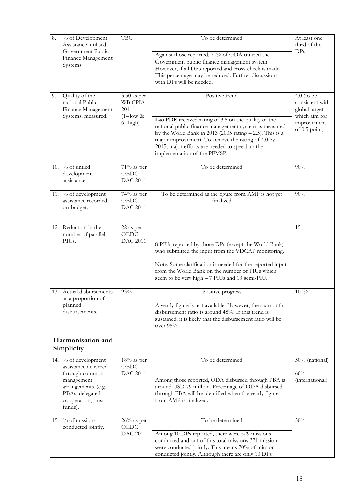| 8. | % of Development<br>Assistance utilised<br>Government Public<br>Finance Management<br>Systems                                                          | <b>TBC</b>                                                             | To be determined<br>Against those reported, 70% of ODA utilized the<br>Government public finance management system.<br>However, if all DPs reported and cross check is made.<br>This percentage may be reduced. Further discussions<br>with DPs will be needed.                                        | At least one<br>third of the<br>DPs                                                                 |
|----|--------------------------------------------------------------------------------------------------------------------------------------------------------|------------------------------------------------------------------------|--------------------------------------------------------------------------------------------------------------------------------------------------------------------------------------------------------------------------------------------------------------------------------------------------------|-----------------------------------------------------------------------------------------------------|
| 9. | Quality of the<br>national Public<br>Finance Management<br>Systems, measured.                                                                          | $3.50$ as per<br>WB CPIA<br>2011<br>$(1 = \text{low } 8$<br>$6 = high$ | Positive trend<br>Lao PDR received rating of 3.5 on the quality of the<br>national public finance management system as measured<br>by the World Bank in 2013 (2005 rating $- 2.5$ ). This is a<br>major improvement. To achieve the rating of 4.0 by<br>2015, major efforts are needed to speed up the | $4.0$ (to be<br>consistent with<br>global target<br>which aim for<br>improvement<br>of $0.5$ point) |
|    | 10. % of untied<br>development<br>assistance.                                                                                                          | $71\%$ as per<br><b>OEDC</b><br><b>DAC 2011</b>                        | implementation of the PFMSP.<br>To be determined                                                                                                                                                                                                                                                       | 90%                                                                                                 |
|    | 11. % of development<br>assistance recorded<br>on-budget.                                                                                              | 74% as per<br><b>OEDC</b><br><b>DAC 2011</b>                           | To be determined as the figure from AMP is not yet<br>finalized                                                                                                                                                                                                                                        | 90%                                                                                                 |
|    | 12. Reduction in the<br>number of parallel<br>PIUs.                                                                                                    | 22 as per<br><b>OEDC</b><br><b>DAC 2011</b>                            | 8 PIUs reported by those DPs (except the World Bank)<br>who submitted the input from the VDCAP monitoring.<br>Note: Some clarification is needed for the reported input<br>from the World Bank on the number of PIUs which<br>seem to be very high - 7 PIUs and 13 semi-PIU.                           | 15                                                                                                  |
|    | 13. Actual disbursements<br>as a proportion of<br>planned<br>disbursements.                                                                            | 93%                                                                    | Positive progress<br>A yearly figure is not available. However, the six month<br>disbursement ratio is around 48%. If this trend is<br>sustained, it is likely that the disbursement ratio will be<br>over 95%.                                                                                        | 100%                                                                                                |
|    | Harmonisation and<br>Simplicity                                                                                                                        |                                                                        |                                                                                                                                                                                                                                                                                                        |                                                                                                     |
|    | 14. % of development<br>assistance delivered<br>through common<br>management<br>arrangements (e.g.<br>PBAs, delegated<br>cooperation, trust<br>funds). | $18%$ as per<br><b>OEDC</b><br><b>DAC 2011</b>                         | To be determined<br>Among those reported, ODA disbursed through PBA is<br>around USD 79 million. Percentage of ODA disbursed<br>through PBA will be identified when the yearly figure<br>from AMP is finalized.                                                                                        | 50% (national)<br>66%<br>(international)                                                            |
|    | 15. $%$ of missions<br>conducted jointly.                                                                                                              | $26%$ as per<br><b>OEDC</b><br><b>DAC 2011</b>                         | To be determined<br>Among 10 DPs reported, there were 529 missions<br>conducted and out of this total missions 371 mission<br>were conducted jointly. This means 70% of mission<br>conducted jointly. Although there are only 10 DPs                                                                   | $50\%$                                                                                              |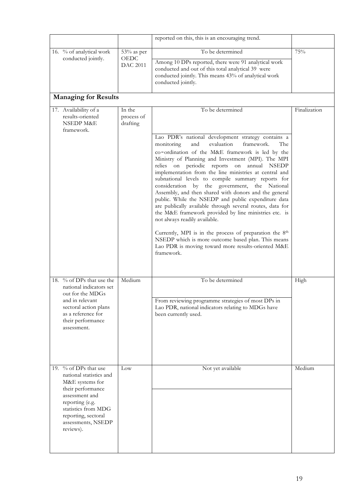|                                                                                                                                                                                                                |                                       | reported on this, this is an encouraging trend.                                                                                                                                                                                                                                                                                                                                                                                                                                                                                                                                                                                                                                                                                                                                                                                                                                                |              |
|----------------------------------------------------------------------------------------------------------------------------------------------------------------------------------------------------------------|---------------------------------------|------------------------------------------------------------------------------------------------------------------------------------------------------------------------------------------------------------------------------------------------------------------------------------------------------------------------------------------------------------------------------------------------------------------------------------------------------------------------------------------------------------------------------------------------------------------------------------------------------------------------------------------------------------------------------------------------------------------------------------------------------------------------------------------------------------------------------------------------------------------------------------------------|--------------|
| 16. % of analytical work<br>conducted jointly.                                                                                                                                                                 | 53% as per<br>OEDC<br><b>DAC 2011</b> | To be determined<br>Among 10 DPs reported, there were 91 analytical work<br>conducted and out of this total analytical 39 were<br>conducted jointly. This means 43% of analytical work<br>conducted jointly.                                                                                                                                                                                                                                                                                                                                                                                                                                                                                                                                                                                                                                                                                   | $75\%$       |
| <b>Managing for Results</b>                                                                                                                                                                                    |                                       |                                                                                                                                                                                                                                                                                                                                                                                                                                                                                                                                                                                                                                                                                                                                                                                                                                                                                                |              |
| 17. Availability of a<br>results-oriented<br><b>NSEDP M&amp;E</b><br>framework.                                                                                                                                | In the<br>process of<br>drafting      | To be determined                                                                                                                                                                                                                                                                                                                                                                                                                                                                                                                                                                                                                                                                                                                                                                                                                                                                               | Finalization |
|                                                                                                                                                                                                                |                                       | Lao PDR's national development strategy contains a<br>monitoring<br>and<br>evaluation<br>framework.<br>The<br>co-ordination of the M&E framework is led by the<br>Ministry of Planning and Investment (MPI). The MPI<br>relies on periodic reports on annual NSEDP<br>implementation from the line ministries at central and<br>subnational levels to compile summary reports for<br>consideration by the government, the National<br>Assembly, and then shared with donors and the general<br>public. While the NSEDP and public expenditure data<br>are publically available through several routes, data for<br>the M&E framework provided by line ministries etc. is<br>not always readily available.<br>Currently, MPI is in the process of preparation the 8th<br>NSEDP which is more outcome based plan. This means<br>Lao PDR is moving toward more results-oriented M&E<br>framework. |              |
| 18. % of DPs that use the<br>national indicators set<br>out for the MDGs<br>and in relevant<br>sectoral action plans<br>as a reference for<br>their performance<br>assessment.                                 | Medium                                | To be determined<br>From reviewing programme strategies of most DPs in<br>Lao PDR, national indicators relating to MDGs have<br>been currently used.                                                                                                                                                                                                                                                                                                                                                                                                                                                                                                                                                                                                                                                                                                                                           | High         |
| 19. % of DPs that use<br>national statistics and<br>M&E systems for<br>their performance<br>assessment and<br>reporting (e.g.<br>statistics from MDG<br>reporting, sectoral<br>assessments, NSEDP<br>reviews). | Low                                   | Not yet available                                                                                                                                                                                                                                                                                                                                                                                                                                                                                                                                                                                                                                                                                                                                                                                                                                                                              | Medium       |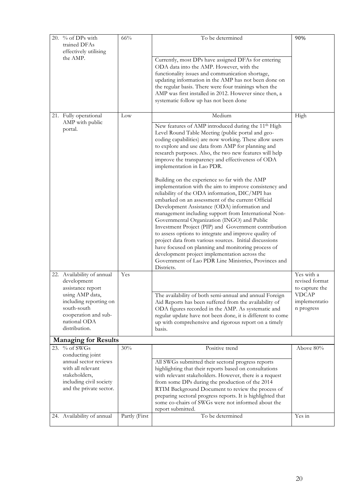| 20. | % of DPs with<br>trained DFAs<br>effectively utilising | $66\%$        | To be determined                                                                                                | 90%                              |
|-----|--------------------------------------------------------|---------------|-----------------------------------------------------------------------------------------------------------------|----------------------------------|
|     | the AMP.                                               |               | Currently, most DPs have assigned DFAs for entering                                                             |                                  |
|     |                                                        |               | ODA data into the AMP. However, with the                                                                        |                                  |
|     |                                                        |               | functionality issues and communication shortage,                                                                |                                  |
|     |                                                        |               | updating information in the AMP has not been done on                                                            |                                  |
|     |                                                        |               | the regular basis. There were four trainings when the<br>AMP was first installed in 2012. However since then, a |                                  |
|     |                                                        |               | systematic follow up has not been done                                                                          |                                  |
|     |                                                        |               |                                                                                                                 |                                  |
|     | 21. Fully operational<br>AMP with public               | Low           | Medium                                                                                                          | High                             |
|     | portal.                                                |               | New features of AMP introduced during the 11 <sup>th</sup> High                                                 |                                  |
|     |                                                        |               | Level Round Table Meeting (public portal and geo-                                                               |                                  |
|     |                                                        |               | coding capabilities) are now working. These allow users<br>to explore and use data from AMP for planning and    |                                  |
|     |                                                        |               | research purposes. Also, the two new features will help                                                         |                                  |
|     |                                                        |               | improve the transparency and effectiveness of ODA                                                               |                                  |
|     |                                                        |               | implementation in Lao PDR.                                                                                      |                                  |
|     |                                                        |               | Building on the experience so far with the AMP                                                                  |                                  |
|     |                                                        |               | implementation with the aim to improve consistency and                                                          |                                  |
|     |                                                        |               | reliability of the ODA information, DIC/MPI has                                                                 |                                  |
|     |                                                        |               | embarked on an assessment of the current Official                                                               |                                  |
|     |                                                        |               | Development Assistance (ODA) information and<br>management including support from International Non-            |                                  |
|     |                                                        |               | Governmental Organization (INGO) and Public                                                                     |                                  |
|     |                                                        |               | Investment Project (PIP) and Government contribution                                                            |                                  |
|     |                                                        |               | to assess options to integrate and improve quality of                                                           |                                  |
|     |                                                        |               | project data from various sources. Initial discussions                                                          |                                  |
|     |                                                        |               | have focused on planning and monitoring process of<br>development project implementation across the             |                                  |
|     |                                                        |               | Government of Lao PDR Line Ministries, Provinces and                                                            |                                  |
|     |                                                        |               | Districts.                                                                                                      |                                  |
|     | 22. Availability of annual                             | Yes           |                                                                                                                 | Yes with a                       |
|     | development<br>assistance report                       |               |                                                                                                                 | revised format<br>to capture the |
|     | using AMP data,                                        |               | The availability of both semi-annual and annual Foreign                                                         | <b>VDCAP</b>                     |
|     | including reporting on                                 |               | Aid Reports has been suffered from the availability of                                                          | implementatio                    |
|     | south-south                                            |               | ODA figures recorded in the AMP. As systematic and                                                              | n progress                       |
|     | cooperation and sub-<br>national ODA                   |               | regular update have not been done, it is different to come                                                      |                                  |
|     | distribution.                                          |               | up with comprehensive and rigorous report on a timely<br>basis.                                                 |                                  |
|     | <b>Managing for Results</b>                            |               |                                                                                                                 |                                  |
|     | 23. % of SWGs                                          | 30%           | Positive trend                                                                                                  | Above 80%                        |
|     | conducting joint                                       |               |                                                                                                                 |                                  |
|     | annual sector reviews                                  |               | All SWGs submitted their sectoral progress reports                                                              |                                  |
|     | with all relevant                                      |               | highlighting that their reports based on consultations                                                          |                                  |
|     | stakeholders,<br>including civil society               |               | with relevant stakeholders. However, there is a request<br>from some DPs during the production of the 2014      |                                  |
|     | and the private sector.                                |               | RTIM Background Document to review the process of                                                               |                                  |
|     |                                                        |               | preparing sectoral progress reports. It is highlighted that                                                     |                                  |
|     |                                                        |               | some co-chairs of SWGs were not informed about the                                                              |                                  |
|     | 24. Availability of annual                             | Partly (First | report submitted.<br>To be determined                                                                           | Yes in                           |
|     |                                                        |               |                                                                                                                 |                                  |